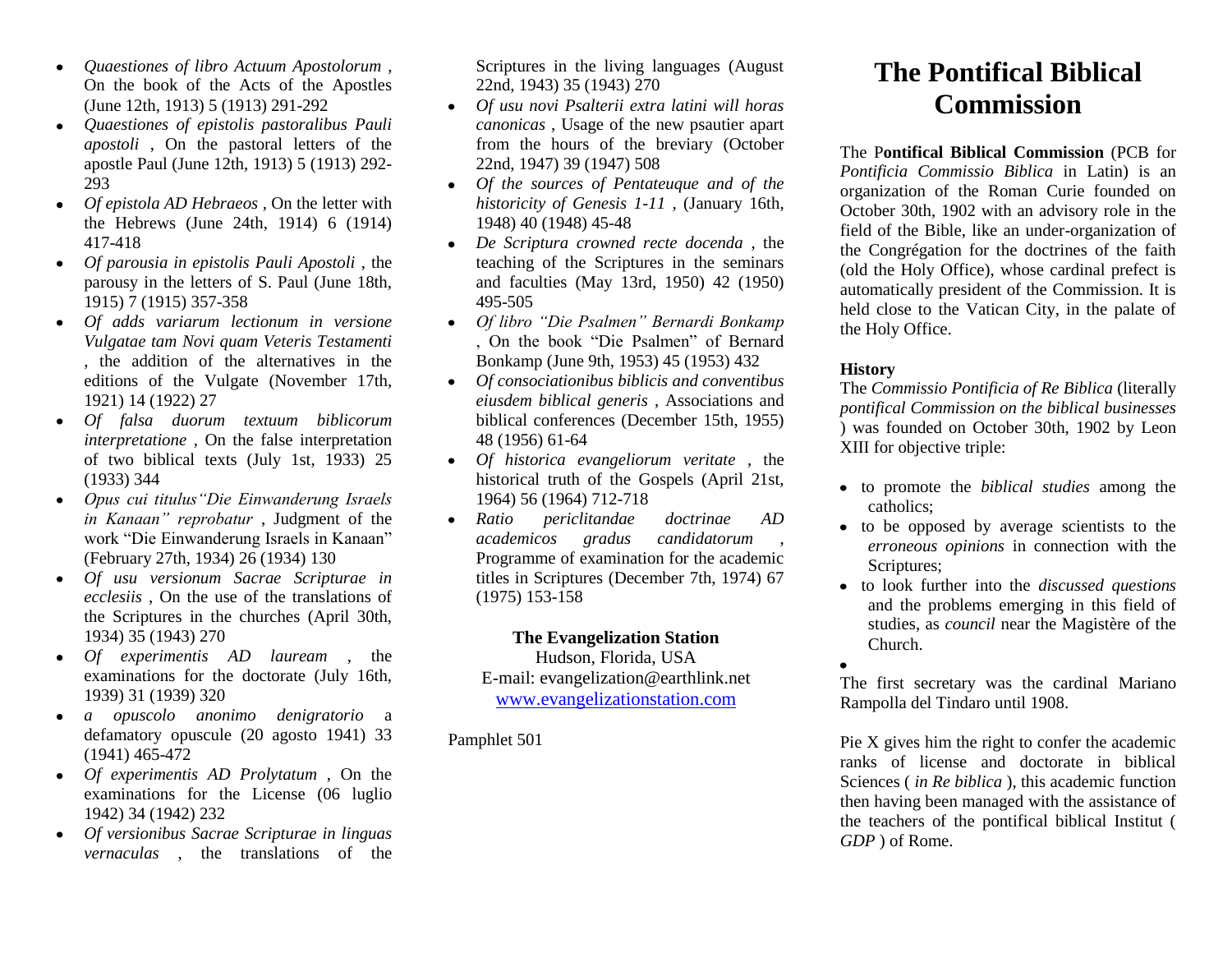- *Quaestiones of libro Actuum Apostolorum* ,  $\bullet$ On the book of the Acts of the Apostles (June 12th, 1913) 5 (1913) 291-292
- *Quaestiones of epistolis pastoralibus Pauli*   $\bullet$ *apostoli* , On the pastoral letters of the apostle Paul (June 12th, 1913) 5 (1913) 292- 293
- *Of epistola AD Hebraeos* , On the letter with  $\bullet$ the Hebrews (June 24th, 1914) 6 (1914) 417-418
- *Of parousia in epistolis Pauli Apostoli* , the parousy in the letters of S. Paul (June 18th, 1915) 7 (1915) 357-358
- *Of adds variarum lectionum in versione Vulgatae tam Novi quam Veteris Testamenti*  , the addition of the alternatives in the editions of the Vulgate (November 17th, 1921) 14 (1922) 27
- *Of falsa duorum textuum biblicorum interpretatione* , On the false interpretation of two biblical texts (July 1st, 1933) 25 (1933) 344
- *Opus cui titulus"Die Einwanderung Israels in Kanaan" reprobatur* , Judgment of the work "Die Einwanderung Israels in Kanaan" (February 27th, 1934) 26 (1934) 130
- *Of usu versionum Sacrae Scripturae in ecclesiis* , On the use of the translations of the Scriptures in the churches (April 30th, 1934) 35 (1943) 270
- *Of experimentis AD lauream* , the examinations for the doctorate (July 16th, 1939) 31 (1939) 320
- *a opuscolo anonimo denigratorio* a defamatory opuscule (20 agosto 1941) 33 (1941) 465-472
- *Of experimentis AD Prolytatum* , On the examinations for the License (06 luglio 1942) 34 (1942) 232
- *Of versionibus Sacrae Scripturae in linguas vernaculas* , the translations of the

Scriptures in the living languages (August 22nd, 1943) 35 (1943) 270

- *Of usu novi Psalterii extra latini will horas canonicas* , Usage of the new psautier apart from the hours of the breviary (October 22nd, 1947) 39 (1947) 508
- *Of the sources of Pentateuque and of the historicity of Genesis 1-11* , (January 16th, 1948) 40 (1948) 45-48
- *De Scriptura crowned recte docenda* , the teaching of the Scriptures in the seminars and faculties (May 13rd, 1950) 42 (1950) 495-505
- *Of libro "Die Psalmen" Bernardi Bonkamp*  , On the book "Die Psalmen" of Bernard Bonkamp (June 9th, 1953) 45 (1953) 432
- *Of consociationibus biblicis and conventibus eiusdem biblical generis* , Associations and biblical conferences (December 15th, 1955) 48 (1956) 61-64
- *Of historica evangeliorum veritate* , the historical truth of the Gospels (April 21st, 1964) 56 (1964) 712-718
- *Ratio periclitandae doctrinae AD academicos gradus candidatorum* , Programme of examination for the academic titles in Scriptures (December 7th, 1974) 67 (1975) 153-158

## **The Evangelization Station**

Hudson, Florida, USA E-mail: evangelization@earthlink.net [www.evangelizationstation.com](http://www.pjpiisoe.org/)

Pamphlet 501

# **The Pontifical Biblical Commission**

The P**ontifical Biblical Commission** (PCB for *Pontificia Commissio Biblica* in Latin) is an organization of the Roman Curie founded on October 30th, 1902 with an advisory role in the field of the Bible, like an under-organization of the Congrégation for the doctrines of the faith (old the Holy Office), whose cardinal prefect is automatically president of the Commission. It is held close to the Vatican City, in the palate of the Holy Office.

## **History**

The *Commissio Pontificia of Re Biblica* (literally *pontifical Commission on the biblical businesses*  ) was founded on October 30th, 1902 by [Leon](http://www.speedylook.com/Leon_XIII.html)  [XIII](http://www.speedylook.com/Leon_XIII.html) for objective triple:

- to promote the *biblical studies* among the catholics;
- to be opposed by average scientists to the *erroneous opinions* in connection with the Scriptures;
- to look further into the *discussed questions*  and the problems emerging in this field of studies, as *council* near the [Magistère of the](http://www.speedylook.com/Magistère_of_the_Church.html)  [Church.](http://www.speedylook.com/Magistère_of_the_Church.html)
- 

The first secretary was the cardinal [Mariano](http://www.speedylook.com/Mariano_Rampolla_del_Tindaro.html)  [Rampolla del Tindaro](http://www.speedylook.com/Mariano_Rampolla_del_Tindaro.html) until 1908.

Pie X gives him the right to confer the academic ranks of license and doctorate in biblical Sciences ( *in Re biblica* ), this academic function then having been managed with the assistance of the teachers of the pontifical biblical Institut ( *GDP* ) of Rome.